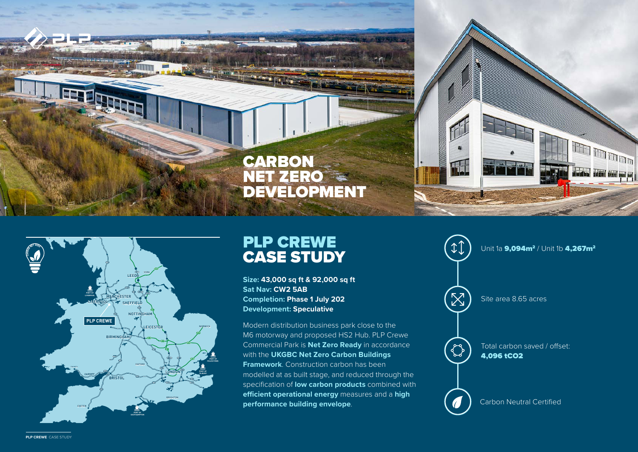



## PLP CREWE CASE STUDY

**Size: 43,000 sq ft & 92,000 sq ft Sat Nav: CW2 5AB Completion: Phase 1 July 202 Development: Speculative** 

Modern distribution business park close to the M6 motorway and proposed HS2 Hub. PLP Crewe Commercial Park is **Net Zero Ready** in accordance with the **UKGBC Net Zero Carbon Buildings Framework**. Construction carbon has been modelled at as built stage, and reduced through the specification of **low carbon products** combined with **efficient operational energy** measures and a **high performance building envelope**.



worked **PLP CREWE** CASE STUDY